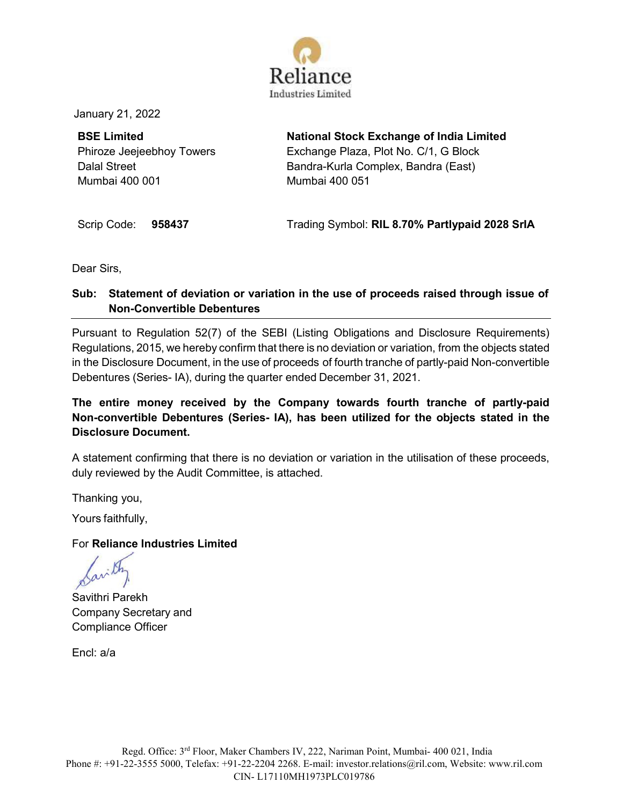

January 21, 2022

**BSE Limited** Phiroze Jeejeebhoy Towers Dalal Street Mumbai 400 001

**National Stock Exchange of India Limited** Exchange Plaza, Plot No. C/1, G Block Bandra-Kurla Complex, Bandra (East) Mumbai 400 051

Scrip Code: **958437** Trading Symbol: **RIL 8.70% Partlypaid 2028 SrIA**

Dear Sirs,

## **Sub: Statement of deviation or variation in the use of proceeds raised through issue of Non-Convertible Debentures**

Pursuant to Regulation 52(7) of the SEBI (Listing Obligations and Disclosure Requirements) Regulations, 2015, we hereby confirm that there is no deviation or variation, from the objects stated in the Disclosure Document, in the use of proceeds of fourth tranche of partly-paid Non-convertible Debentures (Series- IA), during the quarter ended December 31, 2021.

## **The entire money received by the Company towards fourth tranche of partly-paid Non-convertible Debentures (Series- IA), has been utilized for the objects stated in the Disclosure Document.**

A statement confirming that there is no deviation or variation in the utilisation of these proceeds, duly reviewed by the Audit Committee, is attached.

Thanking you,

Yours faithfully,

## For **Reliance Industries Limited**

Savithri Parekh Company Secretary and Compliance Officer

Encl: a/a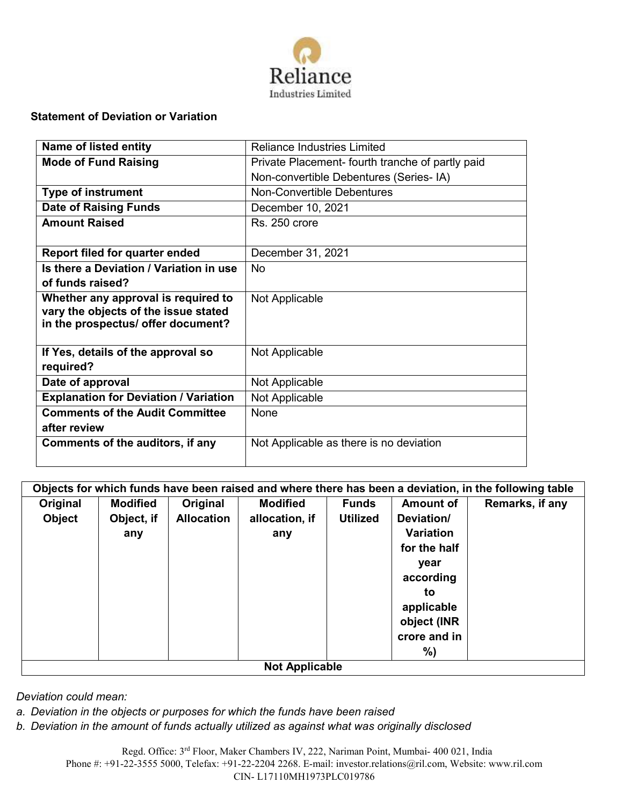

## **Statement of Deviation or Variation**

| <b>Name of listed entity</b>                 | <b>Reliance Industries Limited</b>               |  |  |  |
|----------------------------------------------|--------------------------------------------------|--|--|--|
| <b>Mode of Fund Raising</b>                  | Private Placement- fourth tranche of partly paid |  |  |  |
|                                              | Non-convertible Debentures (Series- IA)          |  |  |  |
| <b>Type of instrument</b>                    | <b>Non-Convertible Debentures</b>                |  |  |  |
| <b>Date of Raising Funds</b>                 | December 10, 2021                                |  |  |  |
| <b>Amount Raised</b>                         | Rs. 250 crore                                    |  |  |  |
|                                              |                                                  |  |  |  |
| Report filed for quarter ended               | December 31, 2021                                |  |  |  |
| Is there a Deviation / Variation in use      | No                                               |  |  |  |
| of funds raised?                             |                                                  |  |  |  |
| Whether any approval is required to          | Not Applicable                                   |  |  |  |
| vary the objects of the issue stated         |                                                  |  |  |  |
| in the prospectus/ offer document?           |                                                  |  |  |  |
| If Yes, details of the approval so           | Not Applicable                                   |  |  |  |
| required?                                    |                                                  |  |  |  |
| Date of approval                             | Not Applicable                                   |  |  |  |
|                                              |                                                  |  |  |  |
| <b>Explanation for Deviation / Variation</b> | Not Applicable                                   |  |  |  |
| <b>Comments of the Audit Committee</b>       | <b>None</b>                                      |  |  |  |
| after review                                 |                                                  |  |  |  |
| Comments of the auditors, if any             | Not Applicable as there is no deviation          |  |  |  |
|                                              |                                                  |  |  |  |

| Objects for which funds have been raised and where there has been a deviation, in the following table |                 |                   |                 |                 |                  |                 |  |
|-------------------------------------------------------------------------------------------------------|-----------------|-------------------|-----------------|-----------------|------------------|-----------------|--|
| Original                                                                                              | <b>Modified</b> | Original          | <b>Modified</b> | <b>Funds</b>    | <b>Amount of</b> | Remarks, if any |  |
| <b>Object</b>                                                                                         | Object, if      | <b>Allocation</b> | allocation, if  | <b>Utilized</b> | Deviation/       |                 |  |
|                                                                                                       | any             |                   | any             |                 | Variation        |                 |  |
|                                                                                                       |                 |                   |                 |                 | for the half     |                 |  |
|                                                                                                       |                 |                   |                 |                 | year             |                 |  |
|                                                                                                       |                 |                   |                 |                 | according        |                 |  |
|                                                                                                       |                 |                   |                 |                 | to               |                 |  |
|                                                                                                       |                 |                   |                 |                 | applicable       |                 |  |
|                                                                                                       |                 |                   |                 |                 | object (INR      |                 |  |
|                                                                                                       |                 |                   |                 |                 | crore and in     |                 |  |
|                                                                                                       |                 |                   |                 |                 | %)               |                 |  |
| <b>Not Applicable</b>                                                                                 |                 |                   |                 |                 |                  |                 |  |

*Deviation could mean:*

- *a. Deviation in the objects or purposes for which the funds have been raised*
- *b. Deviation in the amount of funds actually utilized as against what was originally disclosed*